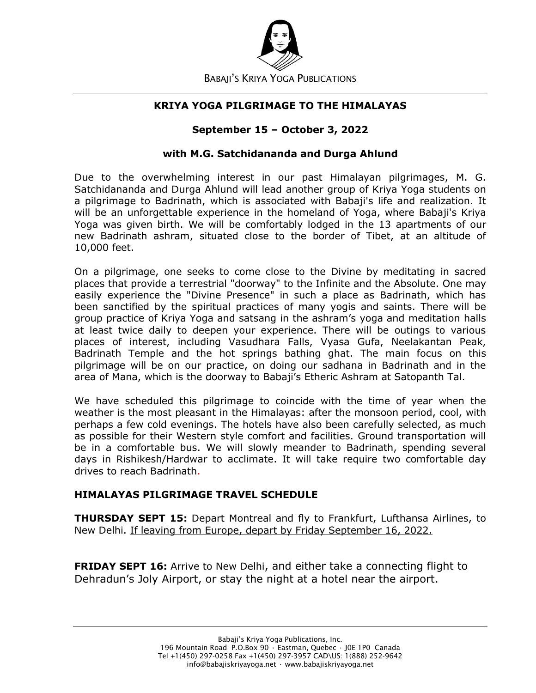

#### **KRIYA YOGA PILGRIMAGE TO THE HIMALAYAS**

#### **September 15 – October 3, 2022**

#### **with M.G. Satchidananda and Durga Ahlund**

Due to the overwhelming interest in our past Himalayan pilgrimages, M. G. Satchidananda and Durga Ahlund will lead another group of Kriya Yoga students on a pilgrimage to Badrinath, which is associated with Babaji's life and realization. It will be an unforgettable experience in the homeland of Yoga, where Babaji's Kriya Yoga was given birth. We will be comfortably lodged in the 13 apartments of our new Badrinath ashram, situated close to the border of Tibet, at an altitude of 10,000 feet.

On a pilgrimage, one seeks to come close to the Divine by meditating in sacred places that provide a terrestrial "doorway" to the Infinite and the Absolute. One may easily experience the "Divine Presence" in such a place as Badrinath, which has been sanctified by the spiritual practices of many yogis and saints. There will be group practice of Kriya Yoga and satsang in the ashram's yoga and meditation halls at least twice daily to deepen your experience. There will be outings to various places of interest, including Vasudhara Falls, Vyasa Gufa, Neelakantan Peak, Badrinath Temple and the hot springs bathing ghat. The main focus on this pilgrimage will be on our practice, on doing our sadhana in Badrinath and in the area of Mana, which is the doorway to Babaji's Etheric Ashram at Satopanth Tal.

We have scheduled this pilgrimage to coincide with the time of year when the weather is the most pleasant in the Himalayas: after the monsoon period, cool, with perhaps a few cold evenings. The hotels have also been carefully selected, as much as possible for their Western style comfort and facilities. Ground transportation will be in a comfortable bus. We will slowly meander to Badrinath, spending several days in Rishikesh/Hardwar to acclimate. It will take require two comfortable day drives to reach Badrinath.

### **HIMALAYAS PILGRIMAGE TRAVEL SCHEDULE**

**THURSDAY SEPT 15:** Depart Montreal and fly to Frankfurt, Lufthansa Airlines, to New Delhi. If leaving from Europe, depart by Friday September 16, 2022.

**FRIDAY SEPT 16:** Arrive to New Delhi, and either take a connecting flight to Dehradun's Joly Airport, or stay the night at a hotel near the airport.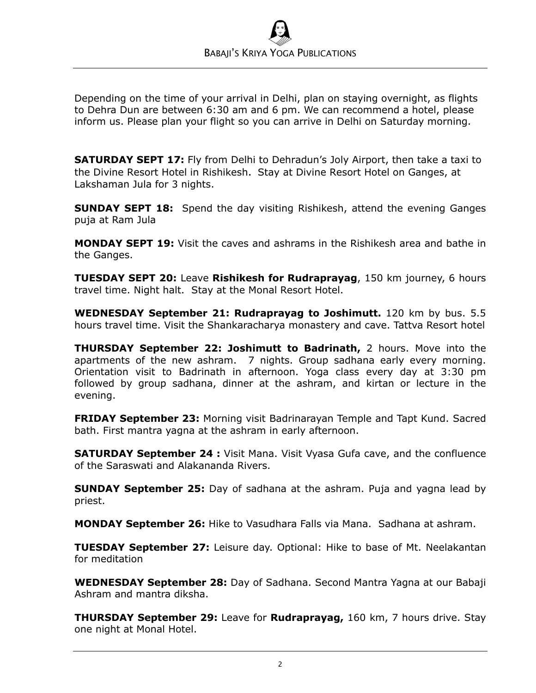Depending on the time of your arrival in Delhi, plan on staying overnight, as flights to Dehra Dun are between 6:30 am and 6 pm. We can recommend a hotel, please inform us. Please plan your flight so you can arrive in Delhi on Saturday morning.

**SATURDAY SEPT 17:** Fly from Delhi to Dehradun's Joly Airport, then take a taxi to the Divine Resort Hotel in Rishikesh. Stay at Divine Resort Hotel on Ganges, at Lakshaman Jula for 3 nights.

**SUNDAY SEPT 18:** Spend the day visiting Rishikesh, attend the evening Ganges puja at Ram Jula

**MONDAY SEPT 19:** Visit the caves and ashrams in the Rishikesh area and bathe in the Ganges.

**TUESDAY SEPT 20:** Leave **Rishikesh for Rudraprayag**, 150 km journey, 6 hours travel time. Night halt. Stay at the Monal Resort Hotel.

**WEDNESDAY September 21: Rudraprayag to Joshimutt.** 120 km by bus. 5.5 hours travel time. Visit the Shankaracharya monastery and cave. Tattva Resort hotel

**THURSDAY September 22: Joshimutt to Badrinath,** 2 hours. Move into the apartments of the new ashram. 7 nights. Group sadhana early every morning. Orientation visit to Badrinath in afternoon. Yoga class every day at 3:30 pm followed by group sadhana, dinner at the ashram, and kirtan or lecture in the evening.

**FRIDAY September 23:** Morning visit Badrinarayan Temple and Tapt Kund. Sacred bath. First mantra yagna at the ashram in early afternoon.

**SATURDAY September 24 :** Visit Mana. Visit Vyasa Gufa cave, and the confluence of the Saraswati and Alakananda Rivers.

**SUNDAY September 25:** Day of sadhana at the ashram. Puja and yagna lead by priest.

**MONDAY September 26:** Hike to Vasudhara Falls via Mana. Sadhana at ashram.

**TUESDAY September 27:** Leisure day. Optional: Hike to base of Mt. Neelakantan for meditation

**WEDNESDAY September 28:** Day of Sadhana. Second Mantra Yagna at our Babaji Ashram and mantra diksha.

**THURSDAY September 29:** Leave for **Rudraprayag,** 160 km, 7 hours drive. Stay one night at Monal Hotel.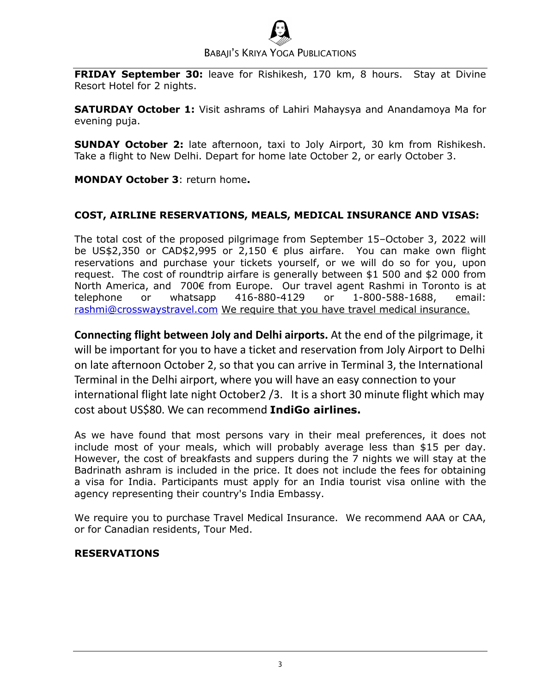# BABAJI'S KRIYA YOGA PUBLICATIONS

**FRIDAY September 30:** leave for Rishikesh, 170 km, 8 hours. Stay at Divine Resort Hotel for 2 nights.

**SATURDAY October 1:** Visit ashrams of Lahiri Mahaysya and Anandamoya Ma for evening puja.

**SUNDAY October 2:** late afternoon, taxi to Joly Airport, 30 km from Rishikesh. Take a flight to New Delhi. Depart for home late October 2, or early October 3.

**MONDAY October 3**: return home**.**

## **COST, AIRLINE RESERVATIONS, MEALS, MEDICAL INSURANCE AND VISAS:**

The total cost of the proposed pilgrimage from September 15–October 3, 2022 will be US\$2,350 or CAD\$2,995 or 2,150 € plus airfare. You can make own flight reservations and purchase your tickets yourself, or we will do so for you, upon request. The cost of roundtrip airfare is generally between \$1 500 and \$2 000 from North America, and 700€ from Europe. Our travel agent Rashmi in Toronto is at telephone or whatsapp 416-880-4129 or 1-800-588-1688, email: [rashmi@crosswaystravel.com](mailto:rashmi@crosswaystravel.com) We require that you have travel medical insurance.

**Connecting flight between Joly and Delhi airports.** At the end of the pilgrimage, it will be important for you to have a ticket and reservation from Joly Airport to Delhi on late afternoon October 2, so that you can arrive in Terminal 3, the International Terminal in the Delhi airport, where you will have an easy connection to your international flight late night October2 /3. It is a short 30 minute flight which may cost about US\$80. We can recommend **IndiGo airlines.**

As we have found that most persons vary in their meal preferences, it does not include most of your meals, which will probably average less than \$15 per day. However, the cost of breakfasts and suppers during the 7 nights we will stay at the Badrinath ashram is included in the price. It does not include the fees for obtaining a visa for India. Participants must apply for an India tourist visa online with the agency representing their country's India Embassy.

We require you to purchase Travel Medical Insurance. We recommend AAA or CAA, or for Canadian residents, Tour Med.

### **RESERVATIONS**